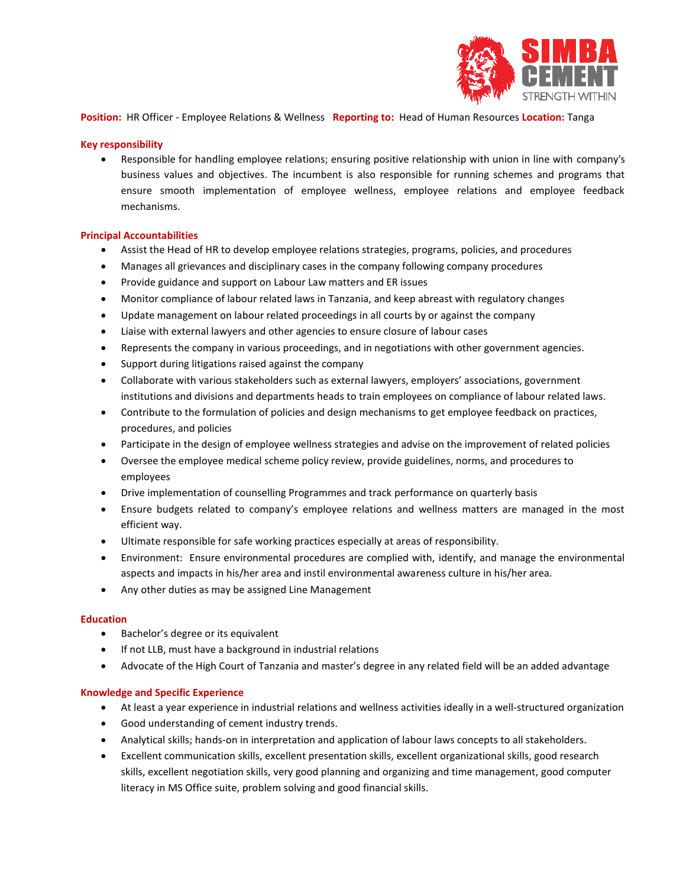

**Position:** HR Officer - Employee Relations & Wellness **Reporting to:** Head of Human Resources **Location:** Tanga

# **Key responsibility**

• Responsible for handling employee relations; ensuring positive relationship with union in line with company's business values and objectives. The incumbent is also responsible for running schemes and programs that ensure smooth implementation of employee wellness, employee relations and employee feedback mechanisms.

### **Principal Accountabilities**

- Assist the Head of HR to develop employee relations strategies, programs, policies, and procedures
- Manages all grievances and disciplinary cases in the company following company procedures
- Provide guidance and support on Labour Law matters and ER issues
- Monitor compliance of labour related laws in Tanzania, and keep abreast with regulatory changes
- Update management on labour related proceedings in all courts by or against the company
- Liaise with external lawyers and other agencies to ensure closure of labour cases
- Represents the company in various proceedings, and in negotiations with other government agencies.
- Support during litigations raised against the company
- Collaborate with various stakeholders such as external lawyers, employers' associations, government institutions and divisions and departments heads to train employees on compliance of labour related laws.
- Contribute to the formulation of policies and design mechanisms to get employee feedback on practices, procedures, and policies
- Participate in the design of employee wellness strategies and advise on the improvement of related policies
- Oversee the employee medical scheme policy review, provide guidelines, norms, and procedures to employees
- Drive implementation of counselling Programmes and track performance on quarterly basis
- Ensure budgets related to company's employee relations and wellness matters are managed in the most efficient way.
- Ultimate responsible for safe working practices especially at areas of responsibility.
- Environment: Ensure environmental procedures are complied with, identify, and manage the environmental aspects and impacts in his/her area and instil environmental awareness culture in his/her area.
- Any other duties as may be assigned Line Management

#### **Education**

- Bachelor's degree or its equivalent
- If not LLB, must have a background in industrial relations
- Advocate of the High Court of Tanzania and master's degree in any related field will be an added advantage

#### **Knowledge and Specific Experience**

- At least a year experience in industrial relations and wellness activities ideally in a well-structured organization
- Good understanding of cement industry trends.
- Analytical skills; hands-on in interpretation and application of labour laws concepts to all stakeholders.
- Excellent communication skills, excellent presentation skills, excellent organizational skills, good research skills, excellent negotiation skills, very good planning and organizing and time management, good computer literacy in MS Office suite, problem solving and good financial skills.